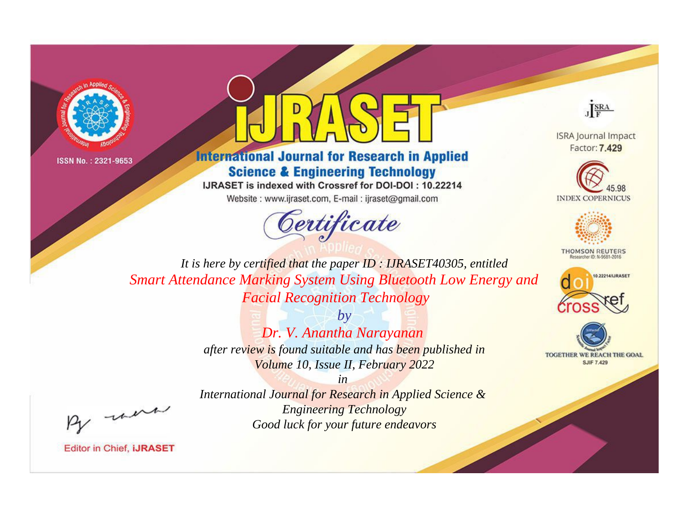



**International Journal for Research in Applied Science & Engineering Technology** 

IJRASET is indexed with Crossref for DOI-DOI: 10.22214

Website: www.ijraset.com, E-mail: ijraset@gmail.com





**ISRA Journal Impact** Factor: 7.429





**THOMSON REUTERS** 



TOGETHER WE REACH THE GOAL **SJIF 7.429** 

*It is here by certified that the paper ID : IJRASET40305, entitled Smart Attendance Marking System Using Bluetooth Low Energy and Facial Recognition Technology*

> *by Dr. V. Anantha Narayanan after review is found suitable and has been published in Volume 10, Issue II, February 2022*

> > *in*

*International Journal for Research in Applied Science & Engineering Technology Good luck for your future endeavors*

, un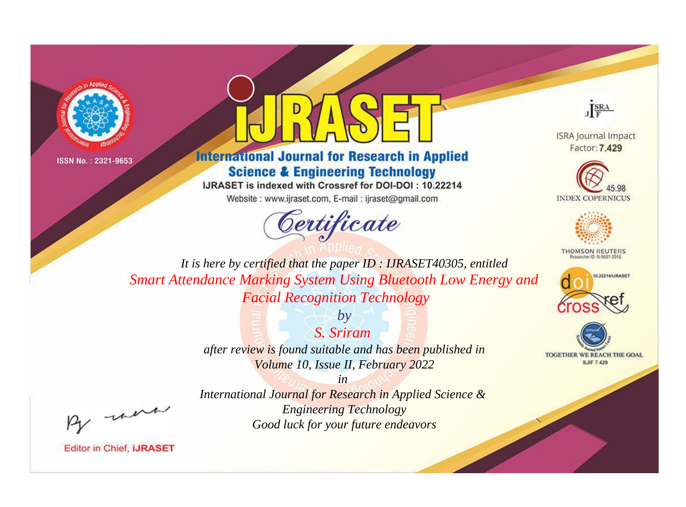



**International Journal for Research in Applied Science & Engineering Technology** 

IJRASET is indexed with Crossref for DOI-DOI: 10.22214

Website: www.ijraset.com, E-mail: ijraset@gmail.com





**ISRA Journal Impact** Factor: 7.429





**THOMSON REUTERS** 



TOGETHER WE REACH THE GOAL **SJIF 7.429** 

*It is here by certified that the paper ID : IJRASET40305, entitled Smart Attendance Marking System Using Bluetooth Low Energy and Facial Recognition Technology*

> *S. Sriram after review is found suitable and has been published in Volume 10, Issue II, February 2022*

> > *in*

*by*

, un

*International Journal for Research in Applied Science & Engineering Technology Good luck for your future endeavors*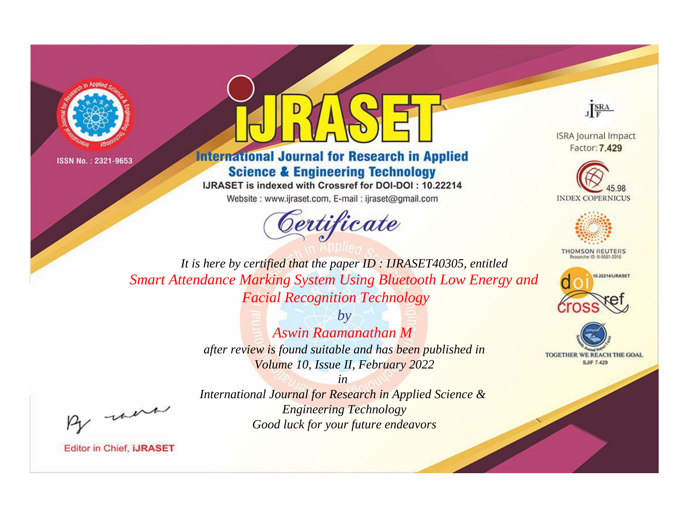



**International Journal for Research in Applied Science & Engineering Technology** 

IJRASET is indexed with Crossref for DOI-DOI: 10.22214

Website: www.ijraset.com, E-mail: ijraset@gmail.com





**ISRA Journal Impact** Factor: 7.429





**THOMSON REUTERS** 



TOGETHER WE REACH THE GOAL **SJIF 7.429** 

*It is here by certified that the paper ID : IJRASET40305, entitled Smart Attendance Marking System Using Bluetooth Low Energy and Facial Recognition Technology*

> *by Aswin Raamanathan M after review is found suitable and has been published in Volume 10, Issue II, February 2022*

> *in International Journal for Research in Applied Science & Engineering Technology Good luck for your future endeavors*

, un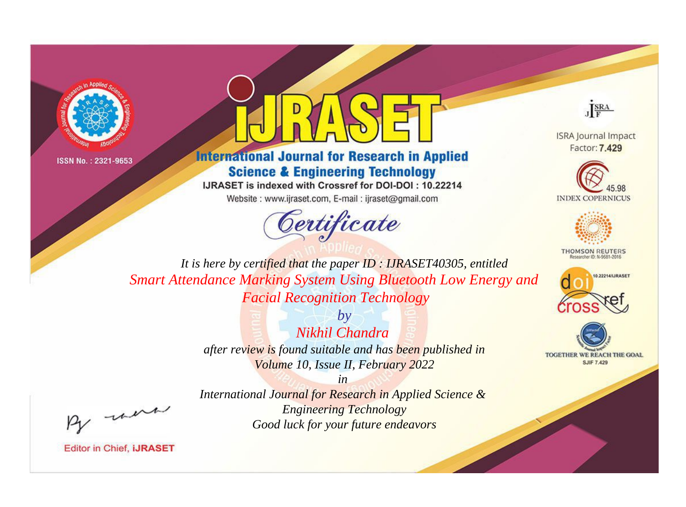



**International Journal for Research in Applied Science & Engineering Technology** 

IJRASET is indexed with Crossref for DOI-DOI: 10.22214

Website: www.ijraset.com, E-mail: ijraset@gmail.com





**ISRA Journal Impact** Factor: 7.429





**THOMSON REUTERS** 



TOGETHER WE REACH THE GOAL **SJIF 7.429** 

*It is here by certified that the paper ID : IJRASET40305, entitled Smart Attendance Marking System Using Bluetooth Low Energy and Facial Recognition Technology*

> *by Nikhil Chandra after review is found suitable and has been published in Volume 10, Issue II, February 2022*

, un

*International Journal for Research in Applied Science & Engineering Technology Good luck for your future endeavors*

*in*